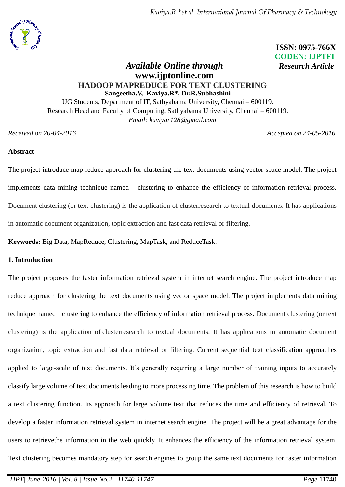*Kaviya.R \*et al. International Journal Of Pharmacy & Technology*



 **ISSN: 0975-766X CODEN: IJPTFI**

# *Available Online through Research Article* **www.ijptonline.com HADOOP MAPREDUCE FOR TEXT CLUSTERING Sangeetha.V, Kaviya.R\*, Dr.R.Subhashini**

UG Students, Department of IT, Sathyabama University, Chennai – 600119. Research Head and Faculty of Computing, Sathyabama University, Chennai – 600119. *Email: kaviyar128@gmail.com*

*Received on 20-04-2016 Accepted on 24-05-2016*

# **Abstract**

The project introduce map reduce approach for clustering the text documents using vector space model. The project implements data mining technique named clustering to enhance the efficiency of information retrieval process. Document clustering (or text clustering) is the application of clusterresearch to textual documents. It has applications in automatic document organization, topic extraction and fast data retrieval or filtering.

**Keywords:** Big Data, MapReduce, Clustering, MapTask, and ReduceTask.

# **1. Introduction**

The project proposes the faster information retrieval system in internet search engine. The project introduce map reduce approach for clustering the text documents using vector space model. The project implements data mining technique named clustering to enhance the efficiency of information retrieval process. Document clustering (or text clustering) is the application of clusterresearch to textual documents. It has applications in automatic document organization, topic extraction and fast data retrieval or filtering. Current sequential text classification approaches applied to large-scale of text documents. It's generally requiring a large number of training inputs to accurately classify large volume of text documents leading to more processing time. The problem of this research is how to build a text clustering function. Its approach for large volume text that reduces the time and efficiency of retrieval. To develop a faster information retrieval system in internet search engine. The project will be a great advantage for the users to retrievethe information in the web quickly. It enhances the efficiency of the information retrieval system. Text clustering becomes mandatory step for search engines to group the same text documents for faster information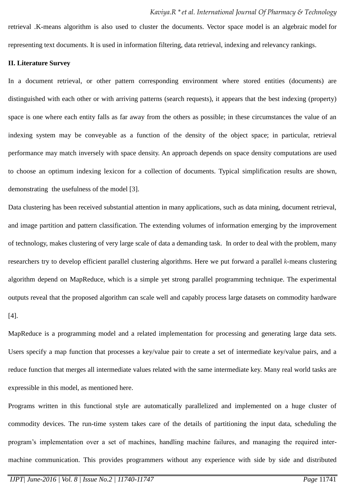retrieval .K-means algorithm is also used to cluster the documents. Vector space model is an algebraic model for representing text documents. It is used in information filtering, data retrieval, indexing and relevancy rankings.

### **II. Literature Survey**

In a document retrieval, or other pattern corresponding environment where stored entities (documents) are distinguished with each other or with arriving patterns (search requests), it appears that the best indexing (property) space is one where each entity falls as far away from the others as possible; in these circumstances the value of an indexing system may be conveyable as a function of the density of the object space; in particular, retrieval performance may match inversely with space density. An approach depends on space density computations are used to choose an optimum indexing lexicon for a collection of documents. Typical simplification results are shown, demonstrating the usefulness of the model [3].

Data clustering has been received substantial attention in many applications, such as data mining, document retrieval, and image partition and pattern classification. The extending volumes of information emerging by the improvement of technology, makes clustering of very large scale of data a demanding task. In order to deal with the problem, many researchers try to develop efficient parallel clustering algorithms. Here we put forward a parallel *k*-means clustering algorithm depend on MapReduce, which is a simple yet strong parallel programming technique. The experimental outputs reveal that the proposed algorithm can scale well and capably process large datasets on commodity hardware [4].

MapReduce is a programming model and a related implementation for processing and generating large data sets. Users specify a map function that processes a key/value pair to create a set of intermediate key/value pairs, and a reduce function that merges all intermediate values related with the same intermediate key. Many real world tasks are expressible in this model, as mentioned here.

Programs written in this functional style are automatically parallelized and implemented on a huge cluster of commodity devices. The run-time system takes care of the details of partitioning the input data, scheduling the program's implementation over a set of machines, handling machine failures, and managing the required intermachine communication. This provides programmers without any experience with side by side and distributed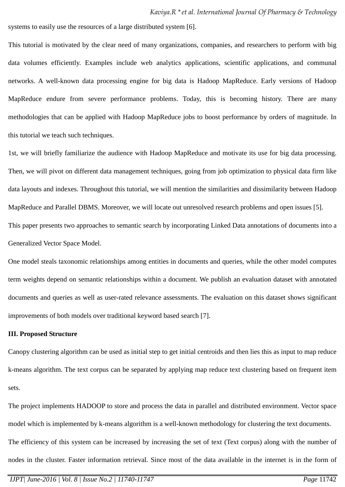systems to easily use the resources of a large distributed system [6].

This tutorial is motivated by the clear need of many organizations, companies, and researchers to perform with big data volumes efficiently. Examples include web analytics applications, scientific applications, and communal networks. A well-known data processing engine for big data is Hadoop MapReduce. Early versions of Hadoop MapReduce endure from severe performance problems. Today, this is becoming history. There are many methodologies that can be applied with Hadoop MapReduce jobs to boost performance by orders of magnitude. In this tutorial we teach such techniques.

1st, we will briefly familiarize the audience with Hadoop MapReduce and motivate its use for big data processing. Then, we will pivot on different data management techniques, going from job optimization to physical data firm like data layouts and indexes. Throughout this tutorial, we will mention the similarities and dissimilarity between Hadoop MapReduce and Parallel DBMS. Moreover, we will locate out unresolved research problems and open issues [5]. This paper presents two approaches to semantic search by incorporating Linked Data annotations of documents into a Generalized Vector Space Model.

One model steals taxonomic relationships among entities in documents and queries, while the other model computes term weights depend on semantic relationships within a document. We publish an evaluation dataset with annotated documents and queries as well as user-rated relevance assessments. The evaluation on this dataset shows significant improvements of both models over traditional keyword based search [7].

#### **III. Proposed Structure**

Canopy clustering algorithm can be used as initial step to get initial centroids and then lies this as input to map reduce k-means algorithm. The text corpus can be separated by applying map reduce text clustering based on frequent item sets.

The project implements HADOOP to store and process the data in parallel and distributed environment. Vector space model which is implemented by k-means algorithm is a well-known methodology for clustering the text documents. The efficiency of this system can be increased by increasing the set of text (Text corpus) along with the number of nodes in the cluster. Faster information retrieval. Since most of the data available in the internet is in the form of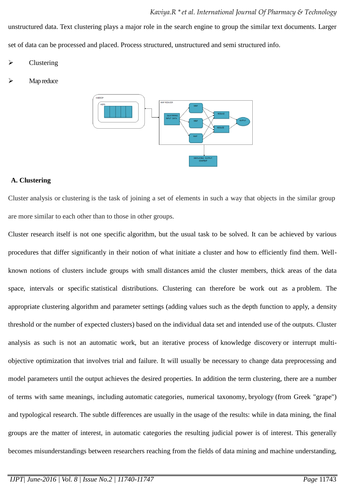unstructured data. Text clustering plays a major role in the search engine to group the similar text documents. Larger set of data can be processed and placed. Process structured, unstructured and semi structured info.

**Clustering** 

Map reduce



## **A. Clustering**

Cluster analysis or clustering is the task of joining a set of elements in such a way that objects in the similar group are more similar to each other than to those in other groups.

Cluster research itself is not one specific [algorithm,](https://en.wikipedia.org/wiki/Algorithm) but the usual task to be solved. It can be achieved by various procedures that differ significantly in their notion of what initiate a cluster and how to efficiently find them. Wellknown notions of clusters include groups with small [distances](https://en.wikipedia.org/wiki/Distance_function) amid the cluster members, thick areas of the data space, intervals or specific [statistical distributions.](https://en.wikipedia.org/wiki/Statistical_distribution) Clustering can therefore be work out as a problem. The appropriate clustering algorithm and parameter settings (adding values such as the [depth function](https://en.wikipedia.org/wiki/Metric_(mathematics)) to apply, a density threshold or the number of expected clusters) based on the individual data set and intended use of the outputs. Cluster analysis as such is not an automatic work, but an iterative process of [knowledge discovery](https://en.wikipedia.org/wiki/Knowledge_discovery) or interrupt multiobjective optimization that involves trial and failure. It will usually be necessary to change data preprocessing and model parameters until the output achieves the desired properties. In addition the term clustering, there are a number of terms with same meanings, including automatic [categories,](https://en.wikipedia.org/wiki/Statistical_classification) [numerical taxonomy,](https://en.wikipedia.org/wiki/Numerical_taxonomy) bryology (from Greek "grape") and typological research. The subtle differences are usually in the usage of the results: while in data mining, the final groups are the matter of interest, in automatic categories the resulting judicial power is of interest. This generally becomes misunderstandings between researchers reaching from the fields of data mining and machine understanding,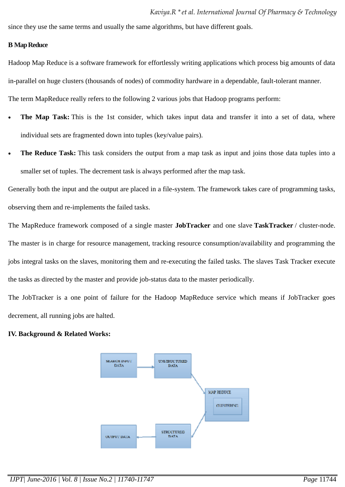since they use the same terms and usually the same algorithms, but have different goals.

### **B Map Reduce**

Hadoop Map Reduce is a software framework for effortlessly writing applications which process big amounts of data in-parallel on huge clusters (thousands of nodes) of commodity hardware in a dependable, fault-tolerant manner. The term MapReduce really refers to the following 2 various jobs that Hadoop programs perform:

- **The Map Task:** This is the 1st consider, which takes input data and transfer it into a set of data, where individual sets are fragmented down into tuples (key/value pairs).
- **The Reduce Task:** This task considers the output from a map task as input and joins those data tuples into a smaller set of tuples. The decrement task is always performed after the map task.

Generally both the input and the output are placed in a file-system. The framework takes care of programming tasks, observing them and re-implements the failed tasks.

The MapReduce framework composed of a single master **JobTracker** and one slave **TaskTracker** / cluster-node. The master is in charge for resource management, tracking resource consumption/availability and programming the jobs integral tasks on the slaves, monitoring them and re-executing the failed tasks. The slaves Task Tracker execute the tasks as directed by the master and provide job-status data to the master periodically.

The JobTracker is a one point of failure for the Hadoop MapReduce service which means if JobTracker goes decrement, all running jobs are halted.

### **IV. Background & Related Works:**

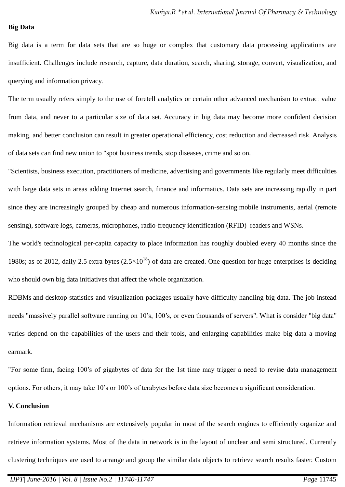#### **Big Data**

Big data is a term for data sets that are so huge or complex that customary data processing applications are insufficient. Challenges include research, capture, data duration, search, sharing, storage, convert, visualization, and querying and information privacy.

The term usually refers simply to the use of foretell analytics or certain other advanced mechanism to extract value from data, and never to a particular size of data set. Accuracy in big data may become more confident decision making, and better conclusion can result in greater operational efficiency, cost reduction and decreased risk. Analysis of data sets can find new union to "spot business trends, stop diseases, crime and so on.

"Scientists, business execution, practitioners of medicine, advertising and [governments](https://en.wikipedia.org/wiki/Government_database) like regularly meet difficulties with large data sets in areas adding [Internet search,](https://en.wikipedia.org/wiki/Web_search_engine) finance and informatics. Data sets are increasing rapidly in part since they are increasingly grouped by cheap and numerous information-sensing [mobile instruments,](https://en.wikipedia.org/wiki/Mobile_device) aerial [\(remote](https://en.wikipedia.org/wiki/Remote_sensing)  [sensing\)](https://en.wikipedia.org/wiki/Remote_sensing), software logs, [cameras,](https://en.wikipedia.org/wiki/Digital_camera) microphones, radio-frequency identification (RFID) readers and [WSNs.](https://en.wikipedia.org/wiki/Wireless_sensor_networks)

The world's technological per-capita capacity to place information has roughly doubled every 40 months since the 1980s; as of 2012, daily 2.5 extra bytes  $(2.5\times10^{18})$  of data are created. One question for huge enterprises is deciding who should own big data initiatives that affect the whole organization.

[RDBMs](https://en.wikipedia.org/wiki/Relational_database_management_system) and desktop statistics and visualization packages usually have difficulty handling big data. The job instead needs "massively parallel software running on 10's, 100's, or even thousands of servers". What is consider "big data" varies depend on the capabilities of the users and their tools, and enlarging capabilities make big data a moving earmark.

"For some firm, facing 100's of gigabytes of data for the 1st time may trigger a need to revise data management options. For others, it may take 10's or 100's of terabytes before data size becomes a significant consideration.

#### **V. Conclusion**

Information retrieval mechanisms are extensively popular in most of the search engines to efficiently organize and retrieve information systems. Most of the data in network is in the layout of unclear and semi structured. Currently clustering techniques are used to arrange and group the similar data objects to retrieve search results faster. Custom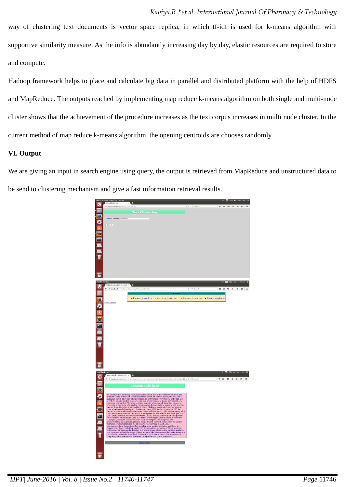way of clustering text documents is vector space replica, in which tf-idf is used for k-means algorithm with supportive similarity measure. As the info is abundantly increasing day by day, elastic resources are required to store and compute.

Hadoop framework helps to place and calculate big data in parallel and distributed platform with the help of HDFS and MapReduce. The outputs reached by implementing map reduce k-means algorithm on both single and multi-node cluster shows that the achievement of the procedure increases as the text corpus increases in multi node cluster. In the current method of map reduce k-means algorithm, the opening centroids are chooses randomly.

## **VI. Output**

We are giving an input in search engine using query, the output is retrieved from MapReduce and unstructured data to be send to clustering mechanism and give a fast information retrieval results.